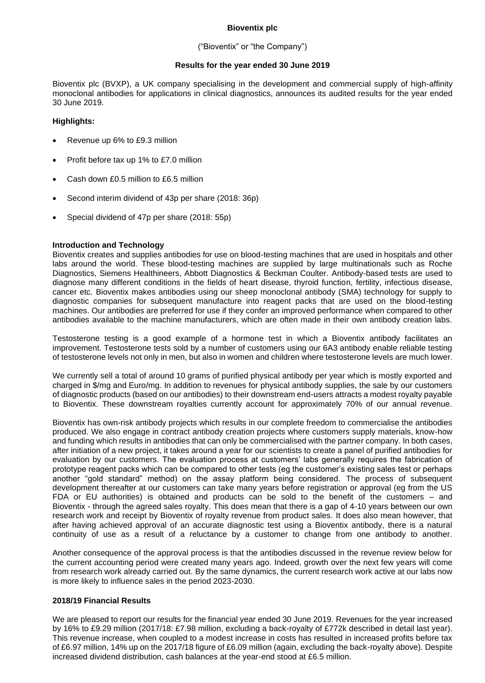## **Bioventix plc**

## ("Bioventix" or "the Company")

## **Results for the year ended 30 June 2019**

Bioventix plc (BVXP), a UK company specialising in the development and commercial supply of high-affinity monoclonal antibodies for applications in clinical diagnostics, announces its audited results for the year ended 30 June 2019.

## **Highlights:**

- Revenue up 6% to £9.3 million
- Profit before tax up 1% to £7.0 million
- Cash down £0.5 million to £6.5 million
- Second interim dividend of 43p per share (2018: 36p)
- Special dividend of 47p per share (2018: 55p)

## **Introduction and Technology**

Bioventix creates and supplies antibodies for use on blood-testing machines that are used in hospitals and other labs around the world. These blood-testing machines are supplied by large multinationals such as Roche Diagnostics, Siemens Healthineers, Abbott Diagnostics & Beckman Coulter. Antibody-based tests are used to diagnose many different conditions in the fields of heart disease, thyroid function, fertility, infectious disease, cancer etc. Bioventix makes antibodies using our sheep monoclonal antibody (SMA) technology for supply to diagnostic companies for subsequent manufacture into reagent packs that are used on the blood-testing machines. Our antibodies are preferred for use if they confer an improved performance when compared to other antibodies available to the machine manufacturers, which are often made in their own antibody creation labs.

Testosterone testing is a good example of a hormone test in which a Bioventix antibody facilitates an improvement. Testosterone tests sold by a number of customers using our 6A3 antibody enable reliable testing of testosterone levels not only in men, but also in women and children where testosterone levels are much lower.

We currently sell a total of around 10 grams of purified physical antibody per year which is mostly exported and charged in \$/mg and Euro/mg. In addition to revenues for physical antibody supplies, the sale by our customers of diagnostic products (based on our antibodies) to their downstream end-users attracts a modest royalty payable to Bioventix. These downstream royalties currently account for approximately 70% of our annual revenue.

Bioventix has own-risk antibody projects which results in our complete freedom to commercialise the antibodies produced. We also engage in contract antibody creation projects where customers supply materials, know-how and funding which results in antibodies that can only be commercialised with the partner company. In both cases, after initiation of a new project, it takes around a year for our scientists to create a panel of purified antibodies for evaluation by our customers. The evaluation process at customers' labs generally requires the fabrication of prototype reagent packs which can be compared to other tests (eg the customer's existing sales test or perhaps another "gold standard" method) on the assay platform being considered. The process of subsequent development thereafter at our customers can take many years before registration or approval (eg from the US FDA or EU authorities) is obtained and products can be sold to the benefit of the customers – and Bioventix - through the agreed sales royalty. This does mean that there is a gap of 4-10 years between our own research work and receipt by Bioventix of royalty revenue from product sales. It does also mean however, that after having achieved approval of an accurate diagnostic test using a Bioventix antibody, there is a natural continuity of use as a result of a reluctance by a customer to change from one antibody to another.

Another consequence of the approval process is that the antibodies discussed in the revenue review below for the current accounting period were created many years ago. Indeed, growth over the next few years will come from research work already carried out. By the same dynamics, the current research work active at our labs now is more likely to influence sales in the period 2023-2030.

## **2018/19 Financial Results**

We are pleased to report our results for the financial year ended 30 June 2019. Revenues for the year increased by 16% to £9.29 million (2017/18: £7.98 million, excluding a back-royalty of £772k described in detail last year). This revenue increase, when coupled to a modest increase in costs has resulted in increased profits before tax of £6.97 million, 14% up on the 2017/18 figure of £6.09 million (again, excluding the back-royalty above). Despite increased dividend distribution, cash balances at the year-end stood at £6.5 million.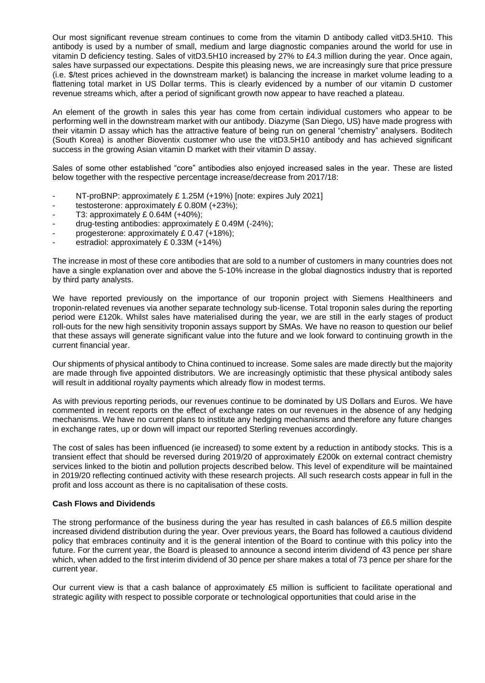Our most significant revenue stream continues to come from the vitamin D antibody called vitD3.5H10. This antibody is used by a number of small, medium and large diagnostic companies around the world for use in vitamin D deficiency testing. Sales of vitD3.5H10 increased by 27% to £4.3 million during the year. Once again, sales have surpassed our expectations. Despite this pleasing news, we are increasingly sure that price pressure (i.e. \$/test prices achieved in the downstream market) is balancing the increase in market volume leading to a flattening total market in US Dollar terms. This is clearly evidenced by a number of our vitamin D customer revenue streams which, after a period of significant growth now appear to have reached a plateau.

An element of the growth in sales this year has come from certain individual customers who appear to be performing well in the downstream market with our antibody. Diazyme (San Diego, US) have made progress with their vitamin D assay which has the attractive feature of being run on general "chemistry" analysers. Boditech (South Korea) is another Bioventix customer who use the vitD3.5H10 antibody and has achieved significant success in the growing Asian vitamin D market with their vitamin D assay.

Sales of some other established "core" antibodies also enjoyed increased sales in the year. These are listed below together with the respective percentage increase/decrease from 2017/18:

- NT-proBNP: approximately £1.25M (+19%) [note: expires July 2021]
- testosterone: approximately £ 0.80M (+23%);
- $-$  T3: approximately £ 0.64M  $(+40\%)$ ;
- drug-testing antibodies: approximately £ 0.49M (-24%);
- progesterone: approximately £ 0.47 (+18%);
- estradiol: approximately £ 0.33M (+14%)

The increase in most of these core antibodies that are sold to a number of customers in many countries does not have a single explanation over and above the 5-10% increase in the global diagnostics industry that is reported by third party analysts.

We have reported previously on the importance of our troponin project with Siemens Healthineers and troponin-related revenues via another separate technology sub-license. Total troponin sales during the reporting period were £120k. Whilst sales have materialised during the year, we are still in the early stages of product roll-outs for the new high sensitivity troponin assays support by SMAs. We have no reason to question our belief that these assays will generate significant value into the future and we look forward to continuing growth in the current financial year.

Our shipments of physical antibody to China continued to increase. Some sales are made directly but the majority are made through five appointed distributors. We are increasingly optimistic that these physical antibody sales will result in additional royalty payments which already flow in modest terms.

As with previous reporting periods, our revenues continue to be dominated by US Dollars and Euros. We have commented in recent reports on the effect of exchange rates on our revenues in the absence of any hedging mechanisms. We have no current plans to institute any hedging mechanisms and therefore any future changes in exchange rates, up or down will impact our reported Sterling revenues accordingly.

The cost of sales has been influenced (ie increased) to some extent by a reduction in antibody stocks. This is a transient effect that should be reversed during 2019/20 of approximately £200k on external contract chemistry services linked to the biotin and pollution projects described below. This level of expenditure will be maintained in 2019/20 reflecting continued activity with these research projects. All such research costs appear in full in the profit and loss account as there is no capitalisation of these costs.

## **Cash Flows and Dividends**

The strong performance of the business during the year has resulted in cash balances of £6.5 million despite increased dividend distribution during the year. Over previous years, the Board has followed a cautious dividend policy that embraces continuity and it is the general intention of the Board to continue with this policy into the future. For the current year, the Board is pleased to announce a second interim dividend of 43 pence per share which, when added to the first interim dividend of 30 pence per share makes a total of 73 pence per share for the current year.

Our current view is that a cash balance of approximately £5 million is sufficient to facilitate operational and strategic agility with respect to possible corporate or technological opportunities that could arise in the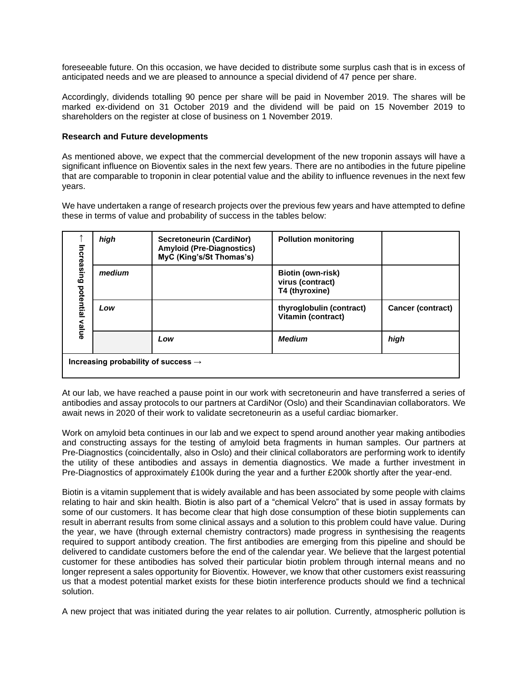foreseeable future. On this occasion, we have decided to distribute some surplus cash that is in excess of anticipated needs and we are pleased to announce a special dividend of 47 pence per share.

Accordingly, dividends totalling 90 pence per share will be paid in November 2019. The shares will be marked ex-dividend on 31 October 2019 and the dividend will be paid on 15 November 2019 to shareholders on the register at close of business on 1 November 2019.

#### **Research and Future developments**

As mentioned above, we expect that the commercial development of the new troponin assays will have a significant influence on Bioventix sales in the next few years. There are no antibodies in the future pipeline that are comparable to troponin in clear potential value and the ability to influence revenues in the next few years.

We have undertaken a range of research projects over the previous few years and have attempted to define these in terms of value and probability of success in the tables below:

| Increasing<br>potential<br>value | high                                            | Secretoneurin (CardiNor)<br><b>Amyloid (Pre-Diagnostics)</b><br>MyC (King's/St Thomas's) | <b>Pollution monitoring</b>                                    |                   |
|----------------------------------|-------------------------------------------------|------------------------------------------------------------------------------------------|----------------------------------------------------------------|-------------------|
|                                  | medium                                          |                                                                                          | <b>Biotin (own-risk)</b><br>virus (contract)<br>T4 (thyroxine) |                   |
|                                  | Low                                             |                                                                                          | thyroglobulin (contract)<br>Vitamin (contract)                 | Cancer (contract) |
|                                  |                                                 | Low                                                                                      | <b>Medium</b>                                                  | high              |
|                                  | Increasing probability of success $\rightarrow$ |                                                                                          |                                                                |                   |

At our lab, we have reached a pause point in our work with secretoneurin and have transferred a series of antibodies and assay protocols to our partners at CardiNor (Oslo) and their Scandinavian collaborators. We await news in 2020 of their work to validate secretoneurin as a useful cardiac biomarker.

Work on amyloid beta continues in our lab and we expect to spend around another year making antibodies and constructing assays for the testing of amyloid beta fragments in human samples. Our partners at Pre-Diagnostics (coincidentally, also in Oslo) and their clinical collaborators are performing work to identify the utility of these antibodies and assays in dementia diagnostics. We made a further investment in Pre-Diagnostics of approximately £100k during the year and a further £200k shortly after the year-end.

Biotin is a vitamin supplement that is widely available and has been associated by some people with claims relating to hair and skin health. Biotin is also part of a "chemical Velcro" that is used in assay formats by some of our customers. It has become clear that high dose consumption of these biotin supplements can result in aberrant results from some clinical assays and a solution to this problem could have value. During the year, we have (through external chemistry contractors) made progress in synthesising the reagents required to support antibody creation. The first antibodies are emerging from this pipeline and should be delivered to candidate customers before the end of the calendar year. We believe that the largest potential customer for these antibodies has solved their particular biotin problem through internal means and no longer represent a sales opportunity for Bioventix. However, we know that other customers exist reassuring us that a modest potential market exists for these biotin interference products should we find a technical solution.

A new project that was initiated during the year relates to air pollution. Currently, atmospheric pollution is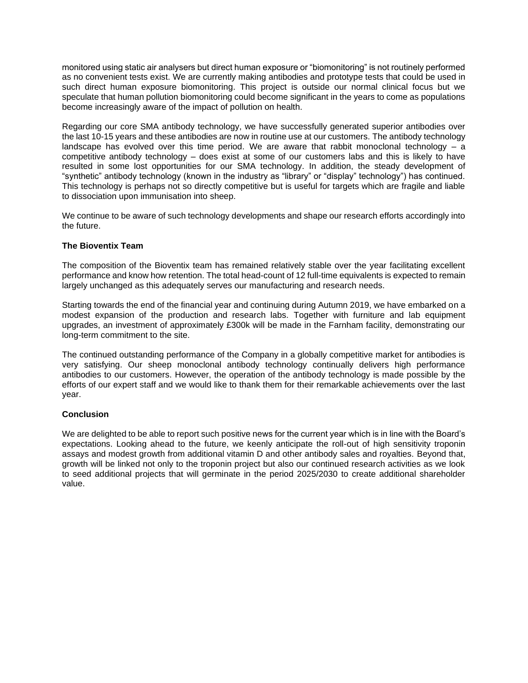monitored using static air analysers but direct human exposure or "biomonitoring" is not routinely performed as no convenient tests exist. We are currently making antibodies and prototype tests that could be used in such direct human exposure biomonitoring. This project is outside our normal clinical focus but we speculate that human pollution biomonitoring could become significant in the years to come as populations become increasingly aware of the impact of pollution on health.

Regarding our core SMA antibody technology, we have successfully generated superior antibodies over the last 10-15 years and these antibodies are now in routine use at our customers. The antibody technology landscape has evolved over this time period. We are aware that rabbit monoclonal technology  $-$  a competitive antibody technology – does exist at some of our customers labs and this is likely to have resulted in some lost opportunities for our SMA technology. In addition, the steady development of "synthetic" antibody technology (known in the industry as "library" or "display" technology") has continued. This technology is perhaps not so directly competitive but is useful for targets which are fragile and liable to dissociation upon immunisation into sheep.

We continue to be aware of such technology developments and shape our research efforts accordingly into the future.

## **The Bioventix Team**

The composition of the Bioventix team has remained relatively stable over the year facilitating excellent performance and know how retention. The total head-count of 12 full-time equivalents is expected to remain largely unchanged as this adequately serves our manufacturing and research needs.

Starting towards the end of the financial year and continuing during Autumn 2019, we have embarked on a modest expansion of the production and research labs. Together with furniture and lab equipment upgrades, an investment of approximately £300k will be made in the Farnham facility, demonstrating our long-term commitment to the site.

The continued outstanding performance of the Company in a globally competitive market for antibodies is very satisfying. Our sheep monoclonal antibody technology continually delivers high performance antibodies to our customers. However, the operation of the antibody technology is made possible by the efforts of our expert staff and we would like to thank them for their remarkable achievements over the last year.

## **Conclusion**

We are delighted to be able to report such positive news for the current year which is in line with the Board's expectations. Looking ahead to the future, we keenly anticipate the roll-out of high sensitivity troponin assays and modest growth from additional vitamin D and other antibody sales and royalties. Beyond that, growth will be linked not only to the troponin project but also our continued research activities as we look to seed additional projects that will germinate in the period 2025/2030 to create additional shareholder value.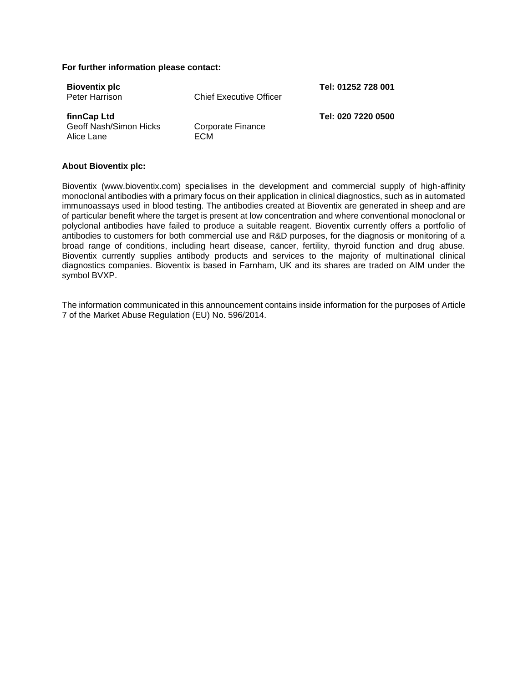#### **For further information please contact:**

| <b>Bioventix plc</b><br>Peter Harrison              | <b>Chief Executive Officer</b> | Tel: 01252 728 001 |
|-----------------------------------------------------|--------------------------------|--------------------|
| finnCap Ltd<br>Geoff Nash/Simon Hicks<br>Alice Lane | Corporate Finance<br>ECM       | Tel: 020 7220 0500 |

#### **About Bioventix plc:**

Bioventix (www.bioventix.com) specialises in the development and commercial supply of high-affinity monoclonal antibodies with a primary focus on their application in clinical diagnostics, such as in automated immunoassays used in blood testing. The antibodies created at Bioventix are generated in sheep and are of particular benefit where the target is present at low concentration and where conventional monoclonal or polyclonal antibodies have failed to produce a suitable reagent. Bioventix currently offers a portfolio of antibodies to customers for both commercial use and R&D purposes, for the diagnosis or monitoring of a broad range of conditions, including heart disease, cancer, fertility, thyroid function and drug abuse. Bioventix currently supplies antibody products and services to the majority of multinational clinical diagnostics companies. Bioventix is based in Farnham, UK and its shares are traded on AIM under the symbol BVXP.

The information communicated in this announcement contains inside information for the purposes of Article 7 of the Market Abuse Regulation (EU) No. 596/2014.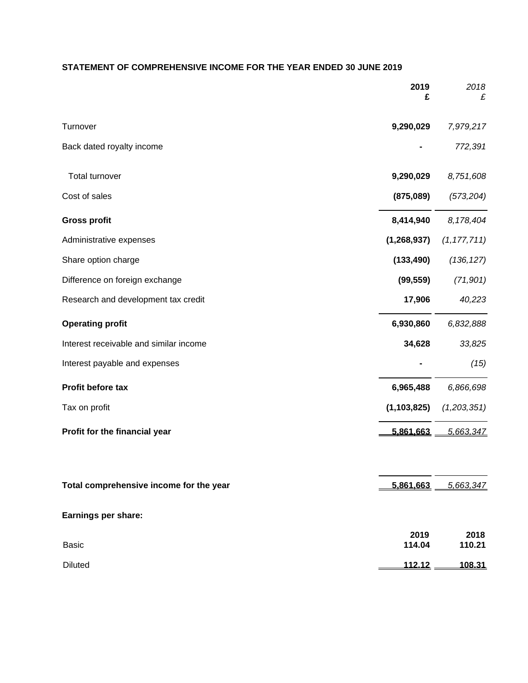# **STATEMENT OF COMPREHENSIVE INCOME FOR THE YEAR ENDED 30 JUNE 2019**

|                                         | 2019<br>£      | 2018<br>£           |
|-----------------------------------------|----------------|---------------------|
| Turnover                                | 9,290,029      | 7,979,217           |
| Back dated royalty income               |                | 772,391             |
| Total turnover                          | 9,290,029      | 8,751,608           |
| Cost of sales                           | (875,089)      | (573, 204)          |
| <b>Gross profit</b>                     | 8,414,940      | 8,178,404           |
| Administrative expenses                 | (1, 268, 937)  | (1, 177, 711)       |
| Share option charge                     | (133, 490)     | (136, 127)          |
| Difference on foreign exchange          | (99, 559)      | (71, 901)           |
| Research and development tax credit     | 17,906         | 40,223              |
| <b>Operating profit</b>                 | 6,930,860      | 6,832,888           |
| Interest receivable and similar income  | 34,628         | 33,825              |
| Interest payable and expenses           |                | (15)                |
| Profit before tax                       | 6,965,488      | 6,866,698           |
| Tax on profit                           | (1, 103, 825)  | (1,203,351)         |
| Profit for the financial year           | 5,861,663      | 5,663,347           |
| Total comprehensive income for the year |                | 5,861,663 5,663,347 |
| Earnings per share:                     |                |                     |
| <b>Basic</b>                            | 2019<br>114.04 | 2018<br>110.21      |
| <b>Diluted</b>                          | <u>112.12</u>  | 108.31              |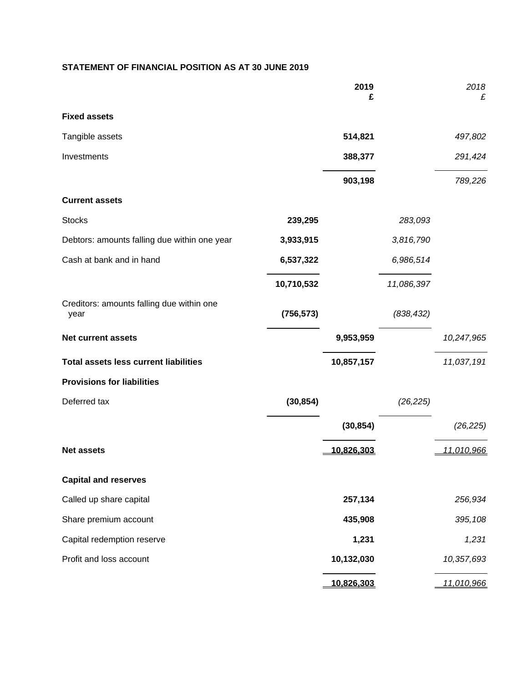# **STATEMENT OF FINANCIAL POSITION AS AT 30 JUNE 2019**

|                                                   |            | 2019<br>£  |            | 2018<br>£  |
|---------------------------------------------------|------------|------------|------------|------------|
| <b>Fixed assets</b>                               |            |            |            |            |
| Tangible assets                                   |            | 514,821    |            | 497,802    |
| Investments                                       |            | 388,377    |            | 291,424    |
|                                                   |            | 903,198    |            | 789,226    |
| <b>Current assets</b>                             |            |            |            |            |
| <b>Stocks</b>                                     | 239,295    |            | 283,093    |            |
| Debtors: amounts falling due within one year      | 3,933,915  |            | 3,816,790  |            |
| Cash at bank and in hand                          | 6,537,322  |            | 6,986,514  |            |
|                                                   | 10,710,532 |            | 11,086,397 |            |
| Creditors: amounts falling due within one<br>year | (756, 573) |            | (838, 432) |            |
| <b>Net current assets</b>                         |            | 9,953,959  |            | 10,247,965 |
| <b>Total assets less current liabilities</b>      |            | 10,857,157 |            | 11,037,191 |
| <b>Provisions for liabilities</b>                 |            |            |            |            |
| Deferred tax                                      | (30, 854)  |            | (26, 225)  |            |
|                                                   |            | (30, 854)  |            | (26, 225)  |
| <b>Net assets</b>                                 |            | 10,826,303 |            | 11,010,966 |
| <b>Capital and reserves</b>                       |            |            |            |            |
| Called up share capital                           |            | 257,134    |            | 256,934    |
| Share premium account                             |            | 435,908    |            | 395,108    |
| Capital redemption reserve                        |            | 1,231      |            | 1,231      |
| Profit and loss account                           |            | 10,132,030 |            | 10,357,693 |
|                                                   |            | 10,826,303 |            | 11,010,966 |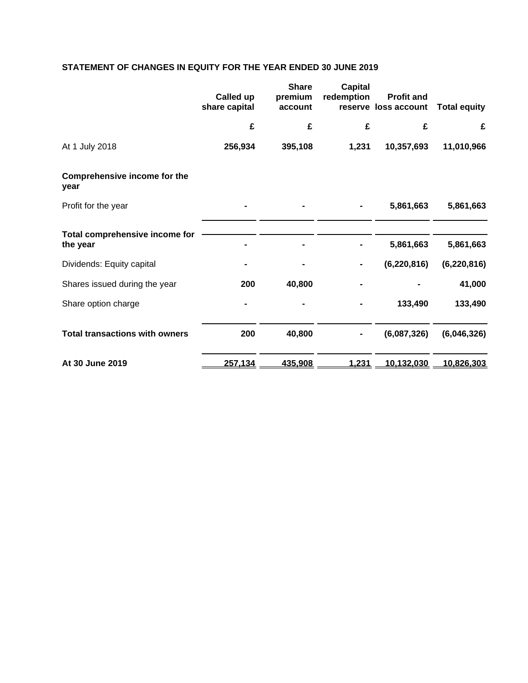# **STATEMENT OF CHANGES IN EQUITY FOR THE YEAR ENDED 30 JUNE 2019**

|                                             | Called up<br>share capital | <b>Share</b><br>premium<br>account | <b>Capital</b><br>redemption | <b>Profit and</b><br>reserve loss account | <b>Total equity</b> |
|---------------------------------------------|----------------------------|------------------------------------|------------------------------|-------------------------------------------|---------------------|
|                                             | £                          | £                                  | £                            | £                                         | £                   |
| At 1 July 2018                              | 256,934                    | 395,108                            | 1,231                        | 10,357,693                                | 11,010,966          |
| <b>Comprehensive income for the</b><br>year |                            |                                    |                              |                                           |                     |
| Profit for the year                         |                            |                                    |                              | 5,861,663                                 | 5,861,663           |
| Total comprehensive income for              |                            |                                    |                              |                                           |                     |
| the year                                    |                            |                                    |                              | 5,861,663                                 | 5,861,663           |
| Dividends: Equity capital                   |                            |                                    |                              | (6, 220, 816)                             | (6, 220, 816)       |
| Shares issued during the year               | 200                        | 40,800                             |                              |                                           | 41,000              |
| Share option charge                         |                            |                                    |                              | 133,490                                   | 133,490             |
| <b>Total transactions with owners</b>       | 200                        | 40,800                             |                              | (6,087,326)                               | (6,046,326)         |
| At 30 June 2019                             | 257,134                    | 435,908                            | 1,231                        | 10,132,030                                | 10,826,303          |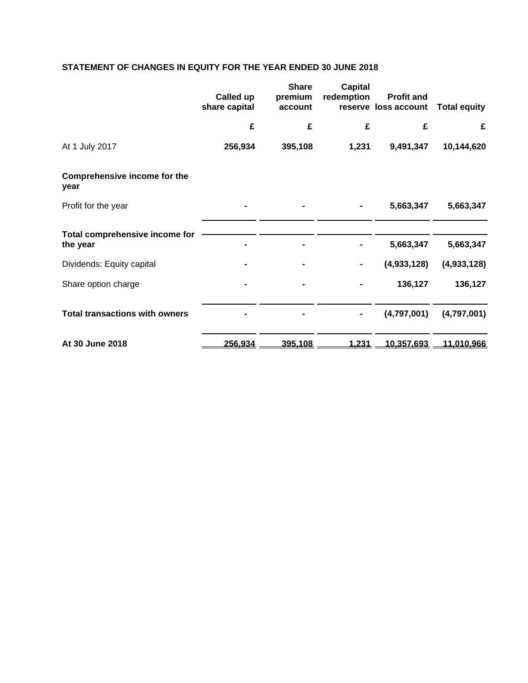# **STATEMENT OF CHANGES IN EQUITY FOR THE YEAR ENDED 30 JUNE 2018**

|                                             | Called up<br>share capital | <b>Share</b><br>premium<br>account | <b>Capital</b><br>redemption | <b>Profit and</b><br>reserve loss account | <b>Total equity</b> |
|---------------------------------------------|----------------------------|------------------------------------|------------------------------|-------------------------------------------|---------------------|
|                                             | £                          | £                                  | £                            | £                                         | £                   |
| At 1 July 2017                              | 256,934                    | 395,108                            | 1,231                        | 9,491,347                                 | 10,144,620          |
| <b>Comprehensive income for the</b><br>year |                            |                                    |                              |                                           |                     |
| Profit for the year                         |                            |                                    |                              | 5,663,347                                 | 5,663,347           |
| Total comprehensive income for              |                            |                                    |                              |                                           |                     |
| the year                                    |                            |                                    |                              | 5,663,347                                 | 5,663,347           |
| Dividends: Equity capital                   |                            |                                    |                              | (4,933,128)                               | (4,933,128)         |
| Share option charge                         |                            |                                    |                              | 136,127                                   | 136,127             |
| <b>Total transactions with owners</b>       |                            |                                    |                              | (4,797,001)                               | (4,797,001)         |
| At 30 June 2018                             | 256,934                    | 395,108                            | 1,231                        | 10,357,693                                | 11,010,966          |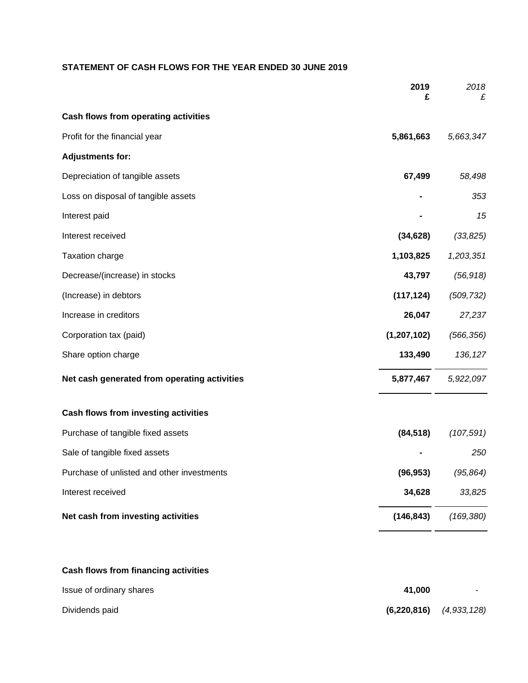# **STATEMENT OF CASH FLOWS FOR THE YEAR ENDED 30 JUNE 2019**

|                                              | 2019<br>£     | 2018<br>£  |
|----------------------------------------------|---------------|------------|
| Cash flows from operating activities         |               |            |
| Profit for the financial year                | 5,861,663     | 5,663,347  |
| <b>Adjustments for:</b>                      |               |            |
| Depreciation of tangible assets              | 67,499        | 58,498     |
| Loss on disposal of tangible assets          |               | 353        |
| Interest paid                                |               | 15         |
| Interest received                            | (34, 628)     | (33, 825)  |
| Taxation charge                              | 1,103,825     | 1,203,351  |
| Decrease/(increase) in stocks                | 43,797        | (56, 918)  |
| (Increase) in debtors                        | (117, 124)    | (509, 732) |
| Increase in creditors                        | 26,047        | 27,237     |
| Corporation tax (paid)                       | (1, 207, 102) | (566, 356) |
| Share option charge                          | 133,490       | 136, 127   |
| Net cash generated from operating activities | 5,877,467     | 5,922,097  |
| Cash flows from investing activities         |               |            |
| Purchase of tangible fixed assets            | (84, 518)     | (107, 591) |
| Sale of tangible fixed assets                |               | 250        |
| Purchase of unlisted and other investments   | (96, 953)     | (95, 864)  |
| Interest received                            | 34,628        | 33,825     |
| Net cash from investing activities           | (146, 843)    | (169, 380) |
| Cash flows from financing activities         |               |            |
| Issue of ordinary shares                     | 41,000        |            |

Dividends paid **(6,220,816)** *(4,933,128)*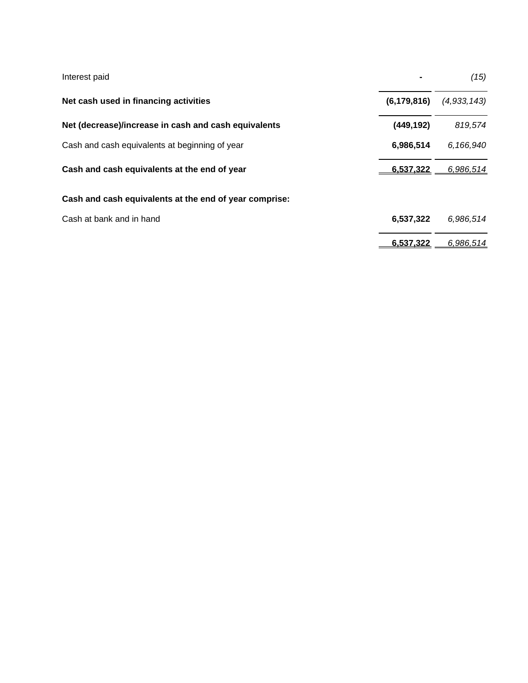| Interest paid                                          |               | (15)        |
|--------------------------------------------------------|---------------|-------------|
| Net cash used in financing activities                  | (6, 179, 816) | (4,933,143) |
| Net (decrease)/increase in cash and cash equivalents   | (449, 192)    | 819,574     |
| Cash and cash equivalents at beginning of year         | 6,986,514     | 6,166,940   |
| Cash and cash equivalents at the end of year           | 6,537,322     | 6,986,514   |
| Cash and cash equivalents at the end of year comprise: |               |             |
| Cash at bank and in hand                               | 6,537,322     | 6,986,514   |
|                                                        | 6.537.322     | 6.986.514   |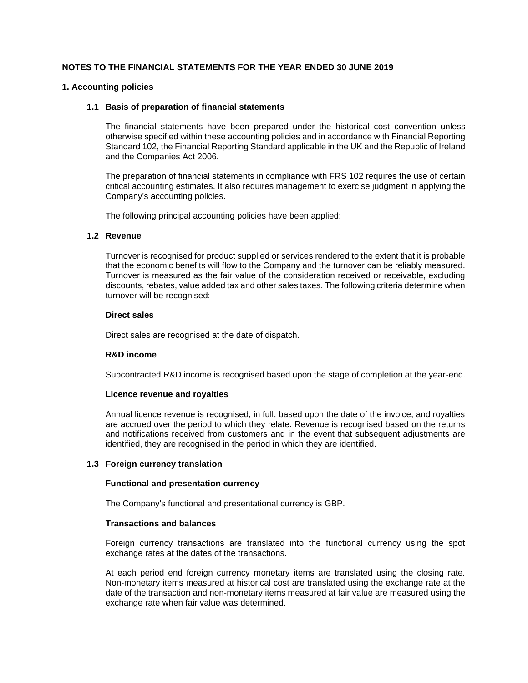## **NOTES TO THE FINANCIAL STATEMENTS FOR THE YEAR ENDED 30 JUNE 2019**

#### **1. Accounting policies**

#### **1.1 Basis of preparation of financial statements**

The financial statements have been prepared under the historical cost convention unless otherwise specified within these accounting policies and in accordance with Financial Reporting Standard 102, the Financial Reporting Standard applicable in the UK and the Republic of Ireland and the Companies Act 2006.

The preparation of financial statements in compliance with FRS 102 requires the use of certain critical accounting estimates. It also requires management to exercise judgment in applying the Company's accounting policies.

The following principal accounting policies have been applied:

#### **1.2 Revenue**

Turnover is recognised for product supplied or services rendered to the extent that it is probable that the economic benefits will flow to the Company and the turnover can be reliably measured. Turnover is measured as the fair value of the consideration received or receivable, excluding discounts, rebates, value added tax and other sales taxes. The following criteria determine when turnover will be recognised:

#### **Direct sales**

Direct sales are recognised at the date of dispatch.

## **R&D income**

Subcontracted R&D income is recognised based upon the stage of completion at the year-end.

## **Licence revenue and royalties**

Annual licence revenue is recognised, in full, based upon the date of the invoice, and royalties are accrued over the period to which they relate. Revenue is recognised based on the returns and notifications received from customers and in the event that subsequent adjustments are identified, they are recognised in the period in which they are identified.

## **1.3 Foreign currency translation**

#### **Functional and presentation currency**

The Company's functional and presentational currency is GBP.

#### **Transactions and balances**

Foreign currency transactions are translated into the functional currency using the spot exchange rates at the dates of the transactions.

At each period end foreign currency monetary items are translated using the closing rate. Non-monetary items measured at historical cost are translated using the exchange rate at the date of the transaction and non-monetary items measured at fair value are measured using the exchange rate when fair value was determined.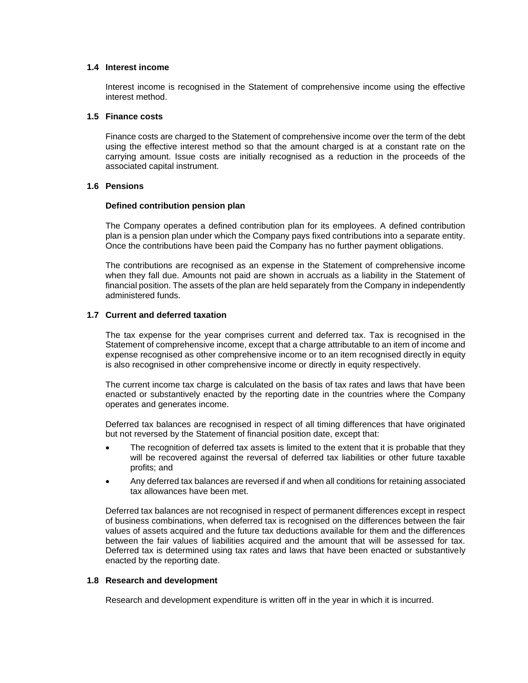## **1.4 Interest income**

Interest income is recognised in the Statement of comprehensive income using the effective interest method.

#### **1.5 Finance costs**

Finance costs are charged to the Statement of comprehensive income over the term of the debt using the effective interest method so that the amount charged is at a constant rate on the carrying amount. Issue costs are initially recognised as a reduction in the proceeds of the associated capital instrument.

## **1.6 Pensions**

#### **Defined contribution pension plan**

The Company operates a defined contribution plan for its employees. A defined contribution plan is a pension plan under which the Company pays fixed contributions into a separate entity. Once the contributions have been paid the Company has no further payment obligations.

The contributions are recognised as an expense in the Statement of comprehensive income when they fall due. Amounts not paid are shown in accruals as a liability in the Statement of financial position. The assets of the plan are held separately from the Company in independently administered funds.

## **1.7 Current and deferred taxation**

The tax expense for the year comprises current and deferred tax. Tax is recognised in the Statement of comprehensive income, except that a charge attributable to an item of income and expense recognised as other comprehensive income or to an item recognised directly in equity is also recognised in other comprehensive income or directly in equity respectively.

The current income tax charge is calculated on the basis of tax rates and laws that have been enacted or substantively enacted by the reporting date in the countries where the Company operates and generates income.

Deferred tax balances are recognised in respect of all timing differences that have originated but not reversed by the Statement of financial position date, except that:

- The recognition of deferred tax assets is limited to the extent that it is probable that they will be recovered against the reversal of deferred tax liabilities or other future taxable profits; and
- Any deferred tax balances are reversed if and when all conditions for retaining associated tax allowances have been met.

Deferred tax balances are not recognised in respect of permanent differences except in respect of business combinations, when deferred tax is recognised on the differences between the fair values of assets acquired and the future tax deductions available for them and the differences between the fair values of liabilities acquired and the amount that will be assessed for tax. Deferred tax is determined using tax rates and laws that have been enacted or substantively enacted by the reporting date.

## **1.8 Research and development**

Research and development expenditure is written off in the year in which it is incurred.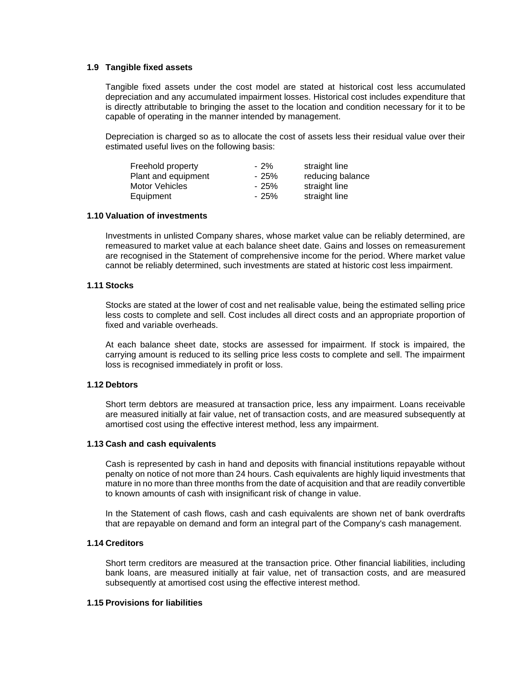#### **1.9 Tangible fixed assets**

Tangible fixed assets under the cost model are stated at historical cost less accumulated depreciation and any accumulated impairment losses. Historical cost includes expenditure that is directly attributable to bringing the asset to the location and condition necessary for it to be capable of operating in the manner intended by management.

Depreciation is charged so as to allocate the cost of assets less their residual value over their estimated useful lives on the following basis:

| $-2\%$ | straight line    |
|--------|------------------|
| $-25%$ | reducing balance |
| - 25%  | straight line    |
| $-25%$ | straight line    |
|        |                  |

#### **1.10 Valuation of investments**

Investments in unlisted Company shares, whose market value can be reliably determined, are remeasured to market value at each balance sheet date. Gains and losses on remeasurement are recognised in the Statement of comprehensive income for the period. Where market value cannot be reliably determined, such investments are stated at historic cost less impairment.

#### **1.11 Stocks**

Stocks are stated at the lower of cost and net realisable value, being the estimated selling price less costs to complete and sell. Cost includes all direct costs and an appropriate proportion of fixed and variable overheads.

At each balance sheet date, stocks are assessed for impairment. If stock is impaired, the carrying amount is reduced to its selling price less costs to complete and sell. The impairment loss is recognised immediately in profit or loss.

## **1.12 Debtors**

Short term debtors are measured at transaction price, less any impairment. Loans receivable are measured initially at fair value, net of transaction costs, and are measured subsequently at amortised cost using the effective interest method, less any impairment.

#### **1.13 Cash and cash equivalents**

Cash is represented by cash in hand and deposits with financial institutions repayable without penalty on notice of not more than 24 hours. Cash equivalents are highly liquid investments that mature in no more than three months from the date of acquisition and that are readily convertible to known amounts of cash with insignificant risk of change in value.

In the Statement of cash flows, cash and cash equivalents are shown net of bank overdrafts that are repayable on demand and form an integral part of the Company's cash management.

## **1.14 Creditors**

Short term creditors are measured at the transaction price. Other financial liabilities, including bank loans, are measured initially at fair value, net of transaction costs, and are measured subsequently at amortised cost using the effective interest method.

## **1.15 Provisions for liabilities**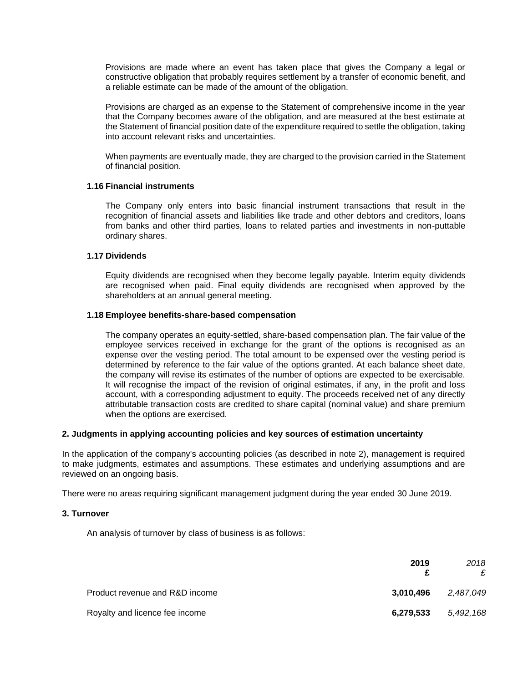Provisions are made where an event has taken place that gives the Company a legal or constructive obligation that probably requires settlement by a transfer of economic benefit, and a reliable estimate can be made of the amount of the obligation.

Provisions are charged as an expense to the Statement of comprehensive income in the year that the Company becomes aware of the obligation, and are measured at the best estimate at the Statement of financial position date of the expenditure required to settle the obligation, taking into account relevant risks and uncertainties.

When payments are eventually made, they are charged to the provision carried in the Statement of financial position.

#### **1.16 Financial instruments**

The Company only enters into basic financial instrument transactions that result in the recognition of financial assets and liabilities like trade and other debtors and creditors, loans from banks and other third parties, loans to related parties and investments in non-puttable ordinary shares.

## **1.17 Dividends**

Equity dividends are recognised when they become legally payable. Interim equity dividends are recognised when paid. Final equity dividends are recognised when approved by the shareholders at an annual general meeting.

#### **1.18 Employee benefits-share-based compensation**

The company operates an equity-settled, share-based compensation plan. The fair value of the employee services received in exchange for the grant of the options is recognised as an expense over the vesting period. The total amount to be expensed over the vesting period is determined by reference to the fair value of the options granted. At each balance sheet date, the company will revise its estimates of the number of options are expected to be exercisable. It will recognise the impact of the revision of original estimates, if any, in the profit and loss account, with a corresponding adjustment to equity. The proceeds received net of any directly attributable transaction costs are credited to share capital (nominal value) and share premium when the options are exercised.

## **2. Judgments in applying accounting policies and key sources of estimation uncertainty**

In the application of the company's accounting policies (as described in note 2), management is required to make judgments, estimates and assumptions. These estimates and underlying assumptions and are reviewed on an ongoing basis.

There were no areas requiring significant management judgment during the year ended 30 June 2019.

#### **3. Turnover**

An analysis of turnover by class of business is as follows:

|                                | 2019      | 2018<br>£ |
|--------------------------------|-----------|-----------|
| Product revenue and R&D income | 3.010.496 | 2,487,049 |
| Royalty and licence fee income | 6,279,533 | 5,492,168 |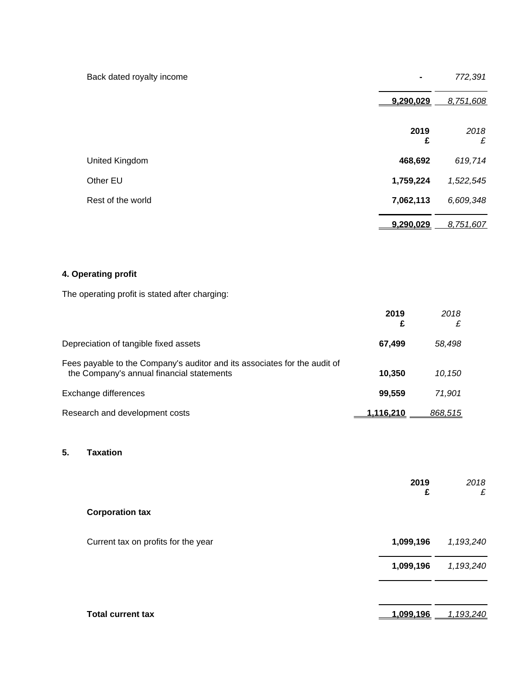| Back dated royalty income | $\blacksquare$ | 772,391   |
|---------------------------|----------------|-----------|
|                           | 9,290,029      | 8,751,608 |
|                           | 2019<br>£      | 2018<br>£ |
| United Kingdom            | 468,692        | 619,714   |
| Other EU                  | 1,759,224      | 1,522,545 |
| Rest of the world         | 7,062,113      | 6,609,348 |
|                           | 9,290,029      | 8,751,607 |

# **4. Operating profit**

The operating profit is stated after charging:

|                                                                                                                        | 2019<br>£        | 2018<br>£ |
|------------------------------------------------------------------------------------------------------------------------|------------------|-----------|
| Depreciation of tangible fixed assets                                                                                  | 67,499           | 58.498    |
| Fees payable to the Company's auditor and its associates for the audit of<br>the Company's annual financial statements | 10.350           | 10.150    |
| Exchange differences                                                                                                   | 99.559           | 71.901    |
| Research and development costs                                                                                         | <u>1.116.210</u> | 868,515   |

## **5. Taxation**

|                                     | 2019<br>£ | 2018<br>£ |
|-------------------------------------|-----------|-----------|
| <b>Corporation tax</b>              |           |           |
| Current tax on profits for the year | 1,099,196 | 1,193,240 |
|                                     | 1,099,196 | 1,193,240 |
|                                     |           |           |
| <b>Total current tax</b>            | 1,099,196 | 1,193,240 |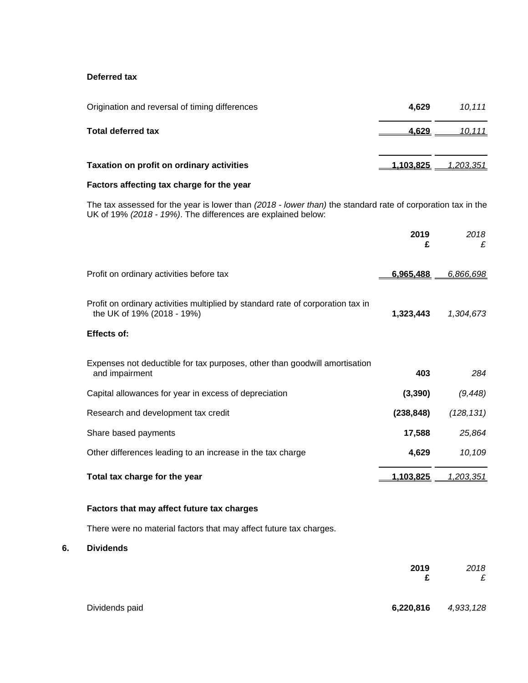## **Deferred tax**

| Origination and reversal of timing differences | 4.629            | 10.111           |
|------------------------------------------------|------------------|------------------|
| <b>Total deferred tax</b>                      | 4.629            | 10,111           |
| Taxation on profit on ordinary activities      | <u>1.103.825</u> | <u>1,203,351</u> |

# **Factors affecting tax charge for the year**

The tax assessed for the year is lower than *(2018 - lower than)* the standard rate of corporation tax in the UK of 19% *(2018 - 19%)*. The differences are explained below:

|                                                                                                               | 2019<br>£        | 2018<br>£        |
|---------------------------------------------------------------------------------------------------------------|------------------|------------------|
| Profit on ordinary activities before tax                                                                      | 6,965,488        | 6,866,698        |
| Profit on ordinary activities multiplied by standard rate of corporation tax in<br>the UK of 19% (2018 - 19%) | 1,323,443        | 1,304,673        |
| <b>Effects of:</b>                                                                                            |                  |                  |
| Expenses not deductible for tax purposes, other than goodwill amortisation<br>and impairment                  | 403              | 284              |
| Capital allowances for year in excess of depreciation                                                         | (3, 390)         | (9, 448)         |
| Research and development tax credit                                                                           | (238, 848)       | (128, 131)       |
| Share based payments                                                                                          | 17,588           | 25,864           |
| Other differences leading to an increase in the tax charge                                                    | 4,629            | 10,109           |
| Total tax charge for the year                                                                                 | <u>1,103,825</u> | <u>1,203,351</u> |

## **Factors that may affect future tax charges**

There were no material factors that may affect future tax charges.

**6. Dividends**

|                | 2019<br>£ | 2018<br>£ |
|----------------|-----------|-----------|
| Dividends paid | 6,220,816 | 4,933,128 |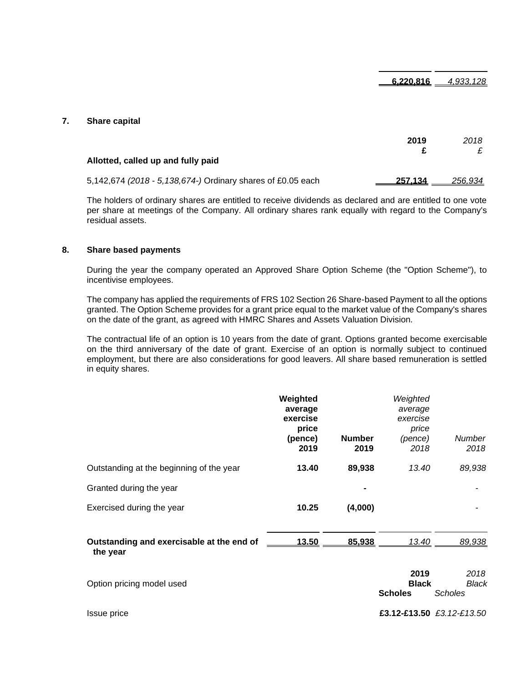**6,220,816** *4,933,128*

#### **7. Share capital**

|                                                             | 2019    | 2018    |
|-------------------------------------------------------------|---------|---------|
| Allotted, called up and fully paid                          |         |         |
| 5,142,674 (2018 - 5,138,674-) Ordinary shares of £0.05 each | 257.134 | 256.934 |

The holders of ordinary shares are entitled to receive dividends as declared and are entitled to one vote per share at meetings of the Company. All ordinary shares rank equally with regard to the Company's residual assets.

#### **8. Share based payments**

During the year the company operated an Approved Share Option Scheme (the "Option Scheme"), to incentivise employees.

The company has applied the requirements of FRS 102 Section 26 Share-based Payment to all the options granted. The Option Scheme provides for a grant price equal to the market value of the Company's shares on the date of the grant, as agreed with HMRC Shares and Assets Valuation Division.

The contractual life of an option is 10 years from the date of grant. Options granted become exercisable on the third anniversary of the date of grant. Exercise of an option is normally subject to continued employment, but there are also considerations for good leavers. All share based remuneration is settled in equity shares.

|                                                       | Weighted<br>average<br>exercise<br>price<br>(pence)<br>2019 | <b>Number</b><br>2019 | Weighted<br>average<br>exercise<br>price<br>(pence)<br>2018 | Number<br>2018       |
|-------------------------------------------------------|-------------------------------------------------------------|-----------------------|-------------------------------------------------------------|----------------------|
| Outstanding at the beginning of the year              | 13.40                                                       | 89,938                | 13.40                                                       | 89,938               |
| Granted during the year                               |                                                             |                       |                                                             |                      |
| Exercised during the year                             | 10.25                                                       | (4,000)               |                                                             |                      |
| Outstanding and exercisable at the end of<br>the year | 13.50                                                       | 85,938                | 13.40                                                       | 89,938               |
| Option pricing model used                             |                                                             |                       | 2019<br><b>Black</b>                                        | 2018<br><b>Black</b> |

**Scholes** *Scholes*

Issue price **£3.12-£13.50** *£3.12-£13.50*